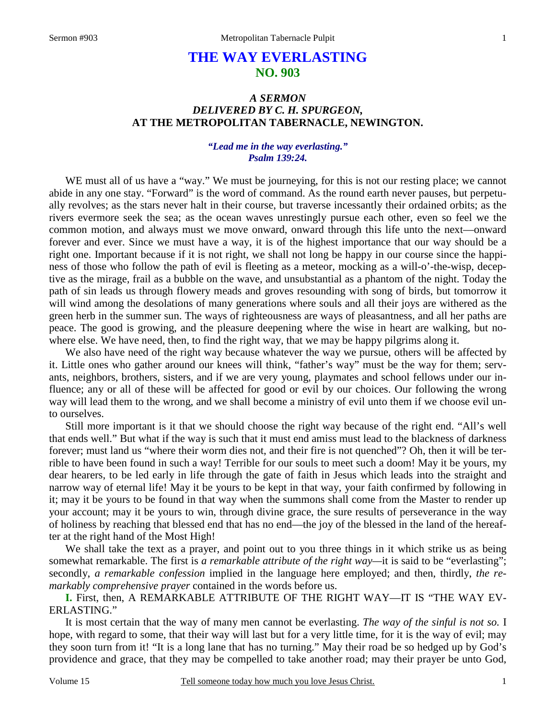# **THE WAY EVERLASTING NO. 903**

# *A SERMON DELIVERED BY C. H. SPURGEON,*  **AT THE METROPOLITAN TABERNACLE, NEWINGTON.**

### *"Lead me in the way everlasting." Psalm 139:24.*

 WE must all of us have a "way." We must be journeying, for this is not our resting place; we cannot abide in any one stay. "Forward" is the word of command. As the round earth never pauses, but perpetually revolves; as the stars never halt in their course, but traverse incessantly their ordained orbits; as the rivers evermore seek the sea; as the ocean waves unrestingly pursue each other, even so feel we the common motion, and always must we move onward, onward through this life unto the next—onward forever and ever. Since we must have a way, it is of the highest importance that our way should be a right one. Important because if it is not right, we shall not long be happy in our course since the happiness of those who follow the path of evil is fleeting as a meteor, mocking as a will-o'-the-wisp, deceptive as the mirage, frail as a bubble on the wave, and unsubstantial as a phantom of the night. Today the path of sin leads us through flowery meads and groves resounding with song of birds, but tomorrow it will wind among the desolations of many generations where souls and all their joys are withered as the green herb in the summer sun. The ways of righteousness are ways of pleasantness, and all her paths are peace. The good is growing, and the pleasure deepening where the wise in heart are walking, but nowhere else. We have need, then, to find the right way, that we may be happy pilgrims along it.

 We also have need of the right way because whatever the way we pursue, others will be affected by it. Little ones who gather around our knees will think, "father's way" must be the way for them; servants, neighbors, brothers, sisters, and if we are very young, playmates and school fellows under our influence; any or all of these will be affected for good or evil by our choices. Our following the wrong way will lead them to the wrong, and we shall become a ministry of evil unto them if we choose evil unto ourselves.

 Still more important is it that we should choose the right way because of the right end. "All's well that ends well." But what if the way is such that it must end amiss must lead to the blackness of darkness forever; must land us "where their worm dies not, and their fire is not quenched"? Oh, then it will be terrible to have been found in such a way! Terrible for our souls to meet such a doom! May it be yours, my dear hearers, to be led early in life through the gate of faith in Jesus which leads into the straight and narrow way of eternal life! May it be yours to be kept in that way, your faith confirmed by following in it; may it be yours to be found in that way when the summons shall come from the Master to render up your account; may it be yours to win, through divine grace, the sure results of perseverance in the way of holiness by reaching that blessed end that has no end—the joy of the blessed in the land of the hereafter at the right hand of the Most High!

 We shall take the text as a prayer, and point out to you three things in it which strike us as being somewhat remarkable. The first is *a remarkable attribute of the right way*—it is said to be "everlasting"; secondly, *a remarkable confession* implied in the language here employed; and then, thirdly, *the remarkably comprehensive prayer* contained in the words before us.

**I.** First, then, A REMARKABLE ATTRIBUTE OF THE RIGHT WAY—IT IS "THE WAY EV-ERLASTING."

 It is most certain that the way of many men cannot be everlasting. *The way of the sinful is not so.* I hope, with regard to some, that their way will last but for a very little time, for it is the way of evil; may they soon turn from it! "It is a long lane that has no turning." May their road be so hedged up by God's providence and grace, that they may be compelled to take another road; may their prayer be unto God,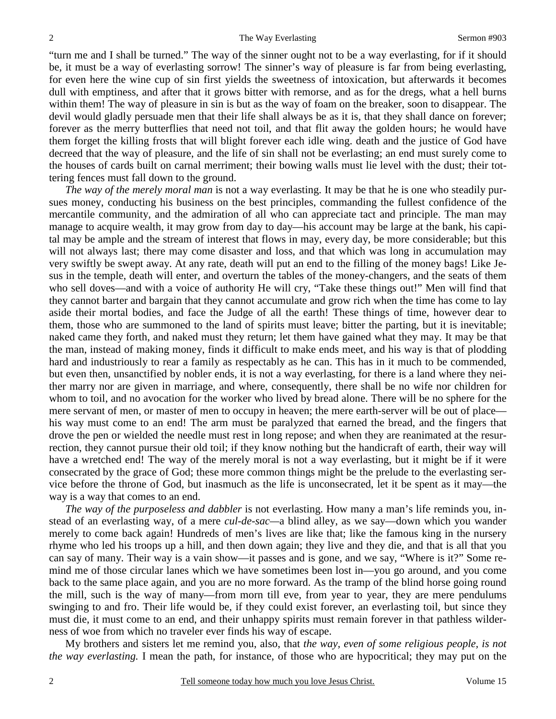"turn me and I shall be turned." The way of the sinner ought not to be a way everlasting, for if it should be, it must be a way of everlasting sorrow! The sinner's way of pleasure is far from being everlasting, for even here the wine cup of sin first yields the sweetness of intoxication, but afterwards it becomes dull with emptiness, and after that it grows bitter with remorse, and as for the dregs, what a hell burns within them! The way of pleasure in sin is but as the way of foam on the breaker, soon to disappear. The devil would gladly persuade men that their life shall always be as it is, that they shall dance on forever; forever as the merry butterflies that need not toil, and that flit away the golden hours; he would have them forget the killing frosts that will blight forever each idle wing. death and the justice of God have decreed that the way of pleasure, and the life of sin shall not be everlasting; an end must surely come to the houses of cards built on carnal merriment; their bowing walls must lie level with the dust; their tottering fences must fall down to the ground.

*The way of the merely moral man* is not a way everlasting. It may be that he is one who steadily pursues money, conducting his business on the best principles, commanding the fullest confidence of the mercantile community, and the admiration of all who can appreciate tact and principle. The man may manage to acquire wealth, it may grow from day to day—his account may be large at the bank, his capital may be ample and the stream of interest that flows in may, every day, be more considerable; but this will not always last; there may come disaster and loss, and that which was long in accumulation may very swiftly be swept away. At any rate, death will put an end to the filling of the money bags! Like Jesus in the temple, death will enter, and overturn the tables of the money-changers, and the seats of them who sell doves—and with a voice of authority He will cry, "Take these things out!" Men will find that they cannot barter and bargain that they cannot accumulate and grow rich when the time has come to lay aside their mortal bodies, and face the Judge of all the earth! These things of time, however dear to them, those who are summoned to the land of spirits must leave; bitter the parting, but it is inevitable; naked came they forth, and naked must they return; let them have gained what they may. It may be that the man, instead of making money, finds it difficult to make ends meet, and his way is that of plodding hard and industriously to rear a family as respectably as he can. This has in it much to be commended, but even then, unsanctified by nobler ends, it is not a way everlasting, for there is a land where they neither marry nor are given in marriage, and where, consequently, there shall be no wife nor children for whom to toil, and no avocation for the worker who lived by bread alone. There will be no sphere for the mere servant of men, or master of men to occupy in heaven; the mere earth-server will be out of place his way must come to an end! The arm must be paralyzed that earned the bread, and the fingers that drove the pen or wielded the needle must rest in long repose; and when they are reanimated at the resurrection, they cannot pursue their old toil; if they know nothing but the handicraft of earth, their way will have a wretched end! The way of the merely moral is not a way everlasting, but it might be if it were consecrated by the grace of God; these more common things might be the prelude to the everlasting service before the throne of God, but inasmuch as the life is unconsecrated, let it be spent as it may—the way is a way that comes to an end.

*The way of the purposeless and dabbler* is not everlasting. How many a man's life reminds you, instead of an everlasting way, of a mere *cul-de-sac—*a blind alley, as we say—down which you wander merely to come back again! Hundreds of men's lives are like that; like the famous king in the nursery rhyme who led his troops up a hill, and then down again; they live and they die, and that is all that you can say of many. Their way is a vain show—it passes and is gone, and we say, "Where is it?" Some remind me of those circular lanes which we have sometimes been lost in—you go around, and you come back to the same place again, and you are no more forward. As the tramp of the blind horse going round the mill, such is the way of many—from morn till eve, from year to year, they are mere pendulums swinging to and fro. Their life would be, if they could exist forever, an everlasting toil, but since they must die, it must come to an end, and their unhappy spirits must remain forever in that pathless wilderness of woe from which no traveler ever finds his way of escape.

 My brothers and sisters let me remind you, also, that *the way, even of some religious people, is not the way everlasting.* I mean the path, for instance, of those who are hypocritical; they may put on the

2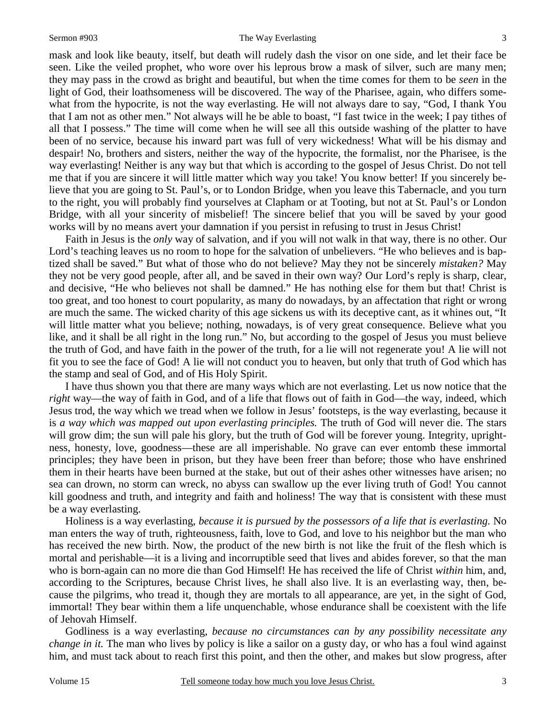### Sermon #903 The Way Everlasting

mask and look like beauty, itself, but death will rudely dash the visor on one side, and let their face be seen. Like the veiled prophet, who wore over his leprous brow a mask of silver, such are many men; they may pass in the crowd as bright and beautiful, but when the time comes for them to be *seen* in the light of God, their loathsomeness will be discovered. The way of the Pharisee, again, who differs somewhat from the hypocrite, is not the way everlasting. He will not always dare to say, "God, I thank You that I am not as other men." Not always will he be able to boast, "I fast twice in the week; I pay tithes of all that I possess." The time will come when he will see all this outside washing of the platter to have been of no service, because his inward part was full of very wickedness! What will be his dismay and despair! No, brothers and sisters, neither the way of the hypocrite, the formalist, nor the Pharisee, is the way everlasting! Neither is any way but that which is according to the gospel of Jesus Christ. Do not tell me that if you are sincere it will little matter which way you take! You know better! If you sincerely believe that you are going to St. Paul's, or to London Bridge, when you leave this Tabernacle, and you turn to the right, you will probably find yourselves at Clapham or at Tooting, but not at St. Paul's or London Bridge, with all your sincerity of misbelief! The sincere belief that you will be saved by your good works will by no means avert your damnation if you persist in refusing to trust in Jesus Christ!

 Faith in Jesus is the *only* way of salvation, and if you will not walk in that way, there is no other. Our Lord's teaching leaves us no room to hope for the salvation of unbelievers. "He who believes and is baptized shall be saved." But what of those who do not believe? May they not be sincerely *mistaken?* May they not be very good people, after all, and be saved in their own way? Our Lord's reply is sharp, clear, and decisive, "He who believes not shall be damned." He has nothing else for them but that! Christ is too great, and too honest to court popularity, as many do nowadays, by an affectation that right or wrong are much the same. The wicked charity of this age sickens us with its deceptive cant, as it whines out, "It will little matter what you believe; nothing, nowadays, is of very great consequence. Believe what you like, and it shall be all right in the long run." No, but according to the gospel of Jesus you must believe the truth of God, and have faith in the power of the truth, for a lie will not regenerate you! A lie will not fit you to see the face of God! A lie will not conduct you to heaven, but only that truth of God which has the stamp and seal of God, and of His Holy Spirit.

 I have thus shown you that there are many ways which are not everlasting. Let us now notice that the *right* way—the way of faith in God, and of a life that flows out of faith in God—the way, indeed, which Jesus trod, the way which we tread when we follow in Jesus' footsteps, is the way everlasting, because it is *a way which was mapped out upon everlasting principles.* The truth of God will never die. The stars will grow dim; the sun will pale his glory, but the truth of God will be forever young. Integrity, uprightness, honesty, love, goodness—these are all imperishable. No grave can ever entomb these immortal principles; they have been in prison, but they have been freer than before; those who have enshrined them in their hearts have been burned at the stake, but out of their ashes other witnesses have arisen; no sea can drown, no storm can wreck, no abyss can swallow up the ever living truth of God! You cannot kill goodness and truth, and integrity and faith and holiness! The way that is consistent with these must be a way everlasting.

 Holiness is a way everlasting, *because it is pursued by the possessors of a life that is everlasting.* No man enters the way of truth, righteousness, faith, love to God, and love to his neighbor but the man who has received the new birth. Now, the product of the new birth is not like the fruit of the flesh which is mortal and perishable—it is a living and incorruptible seed that lives and abides forever, so that the man who is born-again can no more die than God Himself! He has received the life of Christ *within* him, and, according to the Scriptures, because Christ lives, he shall also live. It is an everlasting way, then, because the pilgrims, who tread it, though they are mortals to all appearance, are yet, in the sight of God, immortal! They bear within them a life unquenchable, whose endurance shall be coexistent with the life of Jehovah Himself.

 Godliness is a way everlasting, *because no circumstances can by any possibility necessitate any change in it.* The man who lives by policy is like a sailor on a gusty day, or who has a foul wind against him, and must tack about to reach first this point, and then the other, and makes but slow progress, after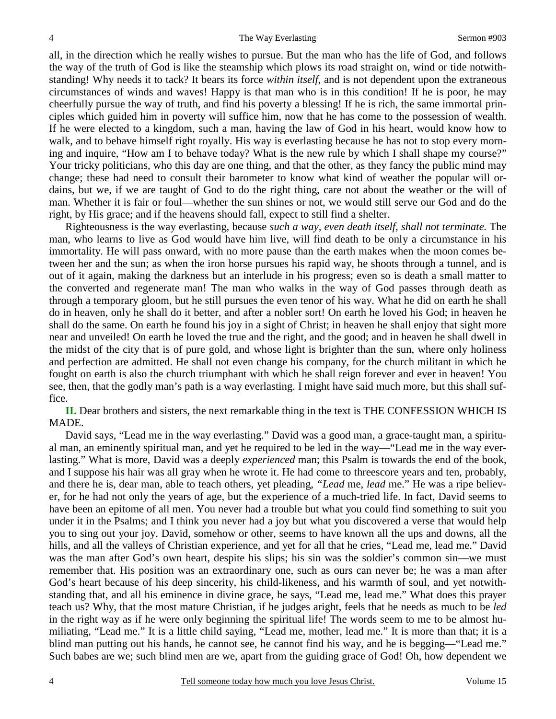all, in the direction which he really wishes to pursue. But the man who has the life of God, and follows the way of the truth of God is like the steamship which plows its road straight on, wind or tide notwithstanding! Why needs it to tack? It bears its force *within itself,* and is not dependent upon the extraneous circumstances of winds and waves! Happy is that man who is in this condition! If he is poor, he may cheerfully pursue the way of truth, and find his poverty a blessing! If he is rich, the same immortal principles which guided him in poverty will suffice him, now that he has come to the possession of wealth. If he were elected to a kingdom, such a man, having the law of God in his heart, would know how to walk, and to behave himself right royally. His way is everlasting because he has not to stop every morning and inquire, "How am I to behave today? What is the new rule by which I shall shape my course?" Your tricky politicians, who this day are one thing, and that the other, as they fancy the public mind may change; these had need to consult their barometer to know what kind of weather the popular will ordains, but we, if we are taught of God to do the right thing, care not about the weather or the will of man. Whether it is fair or foul—whether the sun shines or not, we would still serve our God and do the right, by His grace; and if the heavens should fall, expect to still find a shelter.

 Righteousness is the way everlasting, because *such a way, even death itself, shall not terminate.* The man, who learns to live as God would have him live, will find death to be only a circumstance in his immortality. He will pass onward, with no more pause than the earth makes when the moon comes between her and the sun; as when the iron horse pursues his rapid way, he shoots through a tunnel, and is out of it again, making the darkness but an interlude in his progress; even so is death a small matter to the converted and regenerate man! The man who walks in the way of God passes through death as through a temporary gloom, but he still pursues the even tenor of his way. What he did on earth he shall do in heaven, only he shall do it better, and after a nobler sort! On earth he loved his God; in heaven he shall do the same. On earth he found his joy in a sight of Christ; in heaven he shall enjoy that sight more near and unveiled! On earth he loved the true and the right, and the good; and in heaven he shall dwell in the midst of the city that is of pure gold, and whose light is brighter than the sun, where only holiness and perfection are admitted. He shall not even change his company, for the church militant in which he fought on earth is also the church triumphant with which he shall reign forever and ever in heaven! You see, then, that the godly man's path is a way everlasting. I might have said much more, but this shall suffice.

**II.** Dear brothers and sisters, the next remarkable thing in the text is THE CONFESSION WHICH IS MADE.

 David says, "Lead me in the way everlasting." David was a good man, a grace-taught man, a spiritual man, an eminently spiritual man, and yet he required to be led in the way—"Lead me in the way everlasting." What is more, David was a deeply *experienced* man; this Psalm is towards the end of the book, and I suppose his hair was all gray when he wrote it. He had come to threescore years and ten, probably, and there he is, dear man, able to teach others, yet pleading, *"Lead* me, *lead* me." He was a ripe believer, for he had not only the years of age, but the experience of a much-tried life. In fact, David seems to have been an epitome of all men. You never had a trouble but what you could find something to suit you under it in the Psalms; and I think you never had a joy but what you discovered a verse that would help you to sing out your joy. David, somehow or other, seems to have known all the ups and downs, all the hills, and all the valleys of Christian experience, and yet for all that he cries, "Lead me, lead me." David was the man after God's own heart, despite his slips; his sin was the soldier's common sin—we must remember that. His position was an extraordinary one, such as ours can never be; he was a man after God's heart because of his deep sincerity, his child-likeness, and his warmth of soul, and yet notwithstanding that, and all his eminence in divine grace, he says, "Lead me, lead me." What does this prayer teach us? Why, that the most mature Christian, if he judges aright, feels that he needs as much to be *led* in the right way as if he were only beginning the spiritual life! The words seem to me to be almost humiliating, "Lead me." It is a little child saying, "Lead me, mother, lead me." It is more than that; it is a blind man putting out his hands, he cannot see, he cannot find his way, and he is begging—"Lead me." Such babes are we; such blind men are we, apart from the guiding grace of God! Oh, how dependent we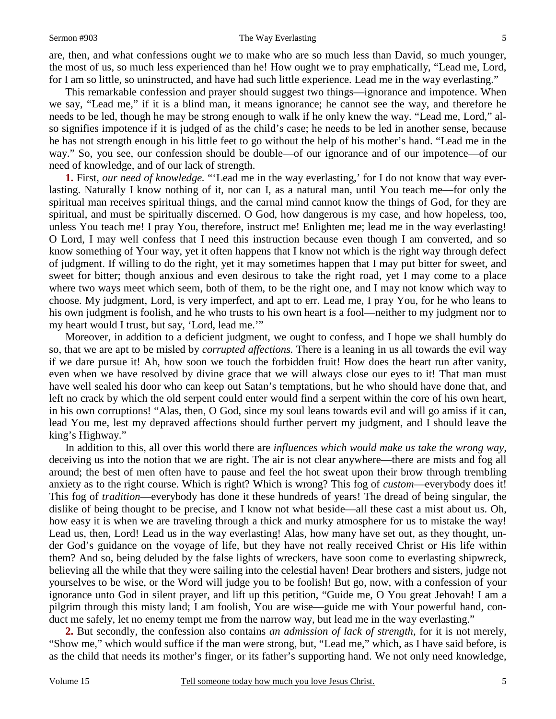### Sermon #903 The Way Everlasting

are, then, and what confessions ought *we* to make who are so much less than David, so much younger, the most of us, so much less experienced than he! How ought we to pray emphatically, "Lead me, Lord, for I am so little, so uninstructed, and have had such little experience. Lead me in the way everlasting."

 This remarkable confession and prayer should suggest two things—ignorance and impotence. When we say, "Lead me," if it is a blind man, it means ignorance; he cannot see the way, and therefore he needs to be led, though he may be strong enough to walk if he only knew the way. "Lead me, Lord," also signifies impotence if it is judged of as the child's case; he needs to be led in another sense, because he has not strength enough in his little feet to go without the help of his mother's hand. "Lead me in the way." So, you see, our confession should be double—of our ignorance and of our impotence—of our need of knowledge, and of our lack of strength.

**1.** First, *our need of knowledge.* "'Lead me in the way everlasting,' for I do not know that way everlasting. Naturally I know nothing of it, nor can I, as a natural man, until You teach me—for only the spiritual man receives spiritual things, and the carnal mind cannot know the things of God, for they are spiritual, and must be spiritually discerned. O God, how dangerous is my case, and how hopeless, too, unless You teach me! I pray You, therefore, instruct me! Enlighten me; lead me in the way everlasting! O Lord, I may well confess that I need this instruction because even though I am converted, and so know something of Your way, yet it often happens that I know not which is the right way through defect of judgment. If willing to do the right, yet it may sometimes happen that I may put bitter for sweet, and sweet for bitter; though anxious and even desirous to take the right road, yet I may come to a place where two ways meet which seem, both of them, to be the right one, and I may not know which way to choose. My judgment, Lord, is very imperfect, and apt to err. Lead me, I pray You, for he who leans to his own judgment is foolish, and he who trusts to his own heart is a fool—neither to my judgment nor to my heart would I trust, but say, 'Lord, lead me.'"

 Moreover, in addition to a deficient judgment, we ought to confess, and I hope we shall humbly do so, that we are apt to be misled by *corrupted affections.* There is a leaning in us all towards the evil way if we dare pursue it! Ah, how soon we touch the forbidden fruit! How does the heart run after vanity, even when we have resolved by divine grace that we will always close our eyes to it! That man must have well sealed his door who can keep out Satan's temptations, but he who should have done that, and left no crack by which the old serpent could enter would find a serpent within the core of his own heart, in his own corruptions! "Alas, then, O God, since my soul leans towards evil and will go amiss if it can, lead You me, lest my depraved affections should further pervert my judgment, and I should leave the king's Highway."

 In addition to this, all over this world there are *influences which would make us take the wrong way,*  deceiving us into the notion that we are right. The air is not clear anywhere—there are mists and fog all around; the best of men often have to pause and feel the hot sweat upon their brow through trembling anxiety as to the right course. Which is right? Which is wrong? This fog of *custom*—everybody does it! This fog of *tradition*—everybody has done it these hundreds of years! The dread of being singular, the dislike of being thought to be precise, and I know not what beside—all these cast a mist about us. Oh, how easy it is when we are traveling through a thick and murky atmosphere for us to mistake the way! Lead us, then, Lord! Lead us in the way everlasting! Alas, how many have set out, as they thought, under God's guidance on the voyage of life, but they have not really received Christ or His life within them? And so, being deluded by the false lights of wreckers, have soon come to everlasting shipwreck, believing all the while that they were sailing into the celestial haven! Dear brothers and sisters, judge not yourselves to be wise, or the Word will judge you to be foolish! But go, now, with a confession of your ignorance unto God in silent prayer, and lift up this petition, "Guide me, O You great Jehovah! I am a pilgrim through this misty land; I am foolish, You are wise—guide me with Your powerful hand, conduct me safely, let no enemy tempt me from the narrow way, but lead me in the way everlasting."

**2.** But secondly, the confession also contains *an admission of lack of strength,* for it is not merely, "Show me," which would suffice if the man were strong, but, "Lead me," which, as I have said before, is as the child that needs its mother's finger, or its father's supporting hand. We not only need knowledge,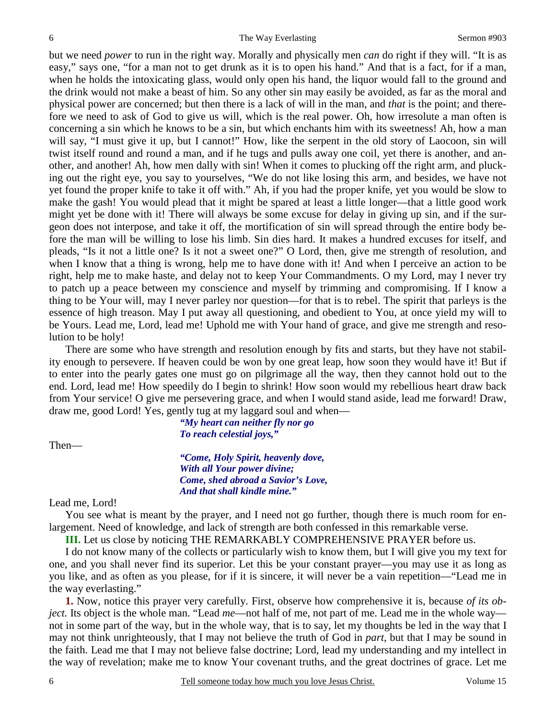but we need *power* to run in the right way. Morally and physically men *can* do right if they will. "It is as easy," says one, "for a man not to get drunk as it is to open his hand." And that is a fact, for if a man, when he holds the intoxicating glass, would only open his hand, the liquor would fall to the ground and the drink would not make a beast of him. So any other sin may easily be avoided, as far as the moral and physical power are concerned; but then there is a lack of will in the man, and *that* is the point; and therefore we need to ask of God to give us will, which is the real power. Oh, how irresolute a man often is concerning a sin which he knows to be a sin, but which enchants him with its sweetness! Ah, how a man will say, "I must give it up, but I cannot!" How, like the serpent in the old story of Laocoon, sin will twist itself round and round a man, and if he tugs and pulls away one coil, yet there is another, and another, and another! Ah, how men dally with sin! When it comes to plucking off the right arm, and plucking out the right eye, you say to yourselves, "We do not like losing this arm, and besides, we have not yet found the proper knife to take it off with." Ah, if you had the proper knife, yet you would be slow to make the gash! You would plead that it might be spared at least a little longer—that a little good work might yet be done with it! There will always be some excuse for delay in giving up sin, and if the surgeon does not interpose, and take it off, the mortification of sin will spread through the entire body before the man will be willing to lose his limb. Sin dies hard. It makes a hundred excuses for itself, and pleads, "Is it not a little one? Is it not a sweet one?" O Lord, then, give me strength of resolution, and when I know that a thing is wrong, help me to have done with it! And when I perceive an action to be right, help me to make haste, and delay not to keep Your Commandments. O my Lord, may I never try to patch up a peace between my conscience and myself by trimming and compromising. If I know a thing to be Your will, may I never parley nor question—for that is to rebel. The spirit that parleys is the essence of high treason. May I put away all questioning, and obedient to You, at once yield my will to be Yours. Lead me, Lord, lead me! Uphold me with Your hand of grace, and give me strength and resolution to be holy!

 There are some who have strength and resolution enough by fits and starts, but they have not stability enough to persevere. If heaven could be won by one great leap, how soon they would have it! But if to enter into the pearly gates one must go on pilgrimage all the way, then they cannot hold out to the end. Lord, lead me! How speedily do I begin to shrink! How soon would my rebellious heart draw back from Your service! O give me persevering grace, and when I would stand aside, lead me forward! Draw, draw me, good Lord! Yes, gently tug at my laggard soul and when—

Then—

*"My heart can neither fly nor go To reach celestial joys,"* 

*"Come, Holy Spirit, heavenly dove, With all Your power divine; Come, shed abroad a Savior's Love, And that shall kindle mine."* 

Lead me, Lord!

 You see what is meant by the prayer, and I need not go further, though there is much room for enlargement. Need of knowledge, and lack of strength are both confessed in this remarkable verse.

**III.** Let us close by noticing THE REMARKABLY COMPREHENSIVE PRAYER before us.

 I do not know many of the collects or particularly wish to know them, but I will give you my text for one, and you shall never find its superior. Let this be your constant prayer—you may use it as long as you like, and as often as you please, for if it is sincere, it will never be a vain repetition—"Lead me in the way everlasting."

**1.** Now, notice this prayer very carefully. First, observe how comprehensive it is, because *of its object*. Its object is the whole man. "Lead *me*—not half of me, not part of me. Lead me in the whole way not in some part of the way, but in the whole way, that is to say, let my thoughts be led in the way that I may not think unrighteously, that I may not believe the truth of God in *part*, but that I may be sound in the faith. Lead me that I may not believe false doctrine; Lord, lead my understanding and my intellect in the way of revelation; make me to know Your covenant truths, and the great doctrines of grace. Let me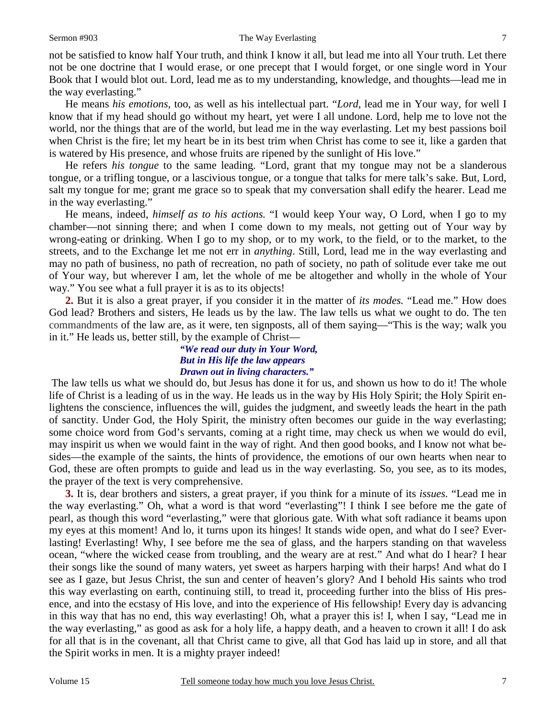### Sermon #903 The Way Everlasting

not be satisfied to know half Your truth, and think I know it all, but lead me into all Your truth. Let there not be one doctrine that I would erase, or one precept that I would forget, or one single word in Your Book that I would blot out. Lord, lead me as to my understanding, knowledge, and thoughts—lead me in the way everlasting."

 He means *his emotions,* too, as well as his intellectual part. "*Lord,* lead me in Your way, for well I know that if my head should go without my heart, yet were I all undone. Lord, help me to love not the world, nor the things that are of the world, but lead me in the way everlasting. Let my best passions boil when Christ is the fire; let my heart be in its best trim when Christ has come to see it, like a garden that is watered by His presence, and whose fruits are ripened by the sunlight of His love."

 He refers *his tongue* to the same leading. "Lord, grant that my tongue may not be a slanderous tongue, or a trifling tongue, or a lascivious tongue, or a tongue that talks for mere talk's sake. But, Lord, salt my tongue for me; grant me grace so to speak that my conversation shall edify the hearer. Lead me in the way everlasting."

 He means, indeed, *himself as to his actions.* "I would keep Your way, O Lord, when I go to my chamber—not sinning there; and when I come down to my meals, not getting out of Your way by wrong-eating or drinking. When I go to my shop, or to my work, to the field, or to the market, to the streets, and to the Exchange let me not err in *anything*. Still, Lord, lead me in the way everlasting and may no path of business, no path of recreation, no path of society, no path of solitude ever take me out of Your way, but wherever I am, let the whole of me be altogether and wholly in the whole of Your way." You see what a full prayer it is as to its objects!

**2.** But it is also a great prayer, if you consider it in the matter of *its modes.* "Lead me." How does God lead? Brothers and sisters, He leads us by the law. The law tells us what we ought to do. The ten commandments of the law are, as it were, ten signposts, all of them saying—"This is the way; walk you in it." He leads us, better still, by the example of Christ—

### *"We read our duty in Your Word, But in His life the law appears Drawn out in living characters."*

The law tells us what we should do, but Jesus has done it for us, and shown us how to do it! The whole life of Christ is a leading of us in the way. He leads us in the way by His Holy Spirit; the Holy Spirit enlightens the conscience, influences the will, guides the judgment, and sweetly leads the heart in the path of sanctity. Under God, the Holy Spirit, the ministry often becomes our guide in the way everlasting; some choice word from God's servants, coming at a right time, may check us when we would do evil, may inspirit us when we would faint in the way of right. And then good books, and I know not what besides—the example of the saints, the hints of providence, the emotions of our own hearts when near to God, these are often prompts to guide and lead us in the way everlasting. So, you see, as to its modes, the prayer of the text is very comprehensive.

**3.** It is, dear brothers and sisters, a great prayer, if you think for a minute of its *issues.* "Lead me in the way everlasting." Oh, what a word is that word "everlasting"! I think I see before me the gate of pearl, as though this word "everlasting," were that glorious gate. With what soft radiance it beams upon my eyes at this moment! And lo, it turns upon its hinges! It stands wide open, and what do I see? Everlasting! Everlasting! Why, I see before me the sea of glass, and the harpers standing on that waveless ocean, "where the wicked cease from troubling, and the weary are at rest." And what do I hear? I hear their songs like the sound of many waters, yet sweet as harpers harping with their harps! And what do I see as I gaze, but Jesus Christ, the sun and center of heaven's glory? And I behold His saints who trod this way everlasting on earth, continuing still, to tread it, proceeding further into the bliss of His presence, and into the ecstasy of His love, and into the experience of His fellowship! Every day is advancing in this way that has no end, this way everlasting! Oh, what a prayer this is! I, when I say, "Lead me in the way everlasting," as good as ask for a holy life, a happy death, and a heaven to crown it all! I do ask for all that is in the covenant, all that Christ came to give, all that God has laid up in store, and all that the Spirit works in men. It is a mighty prayer indeed!